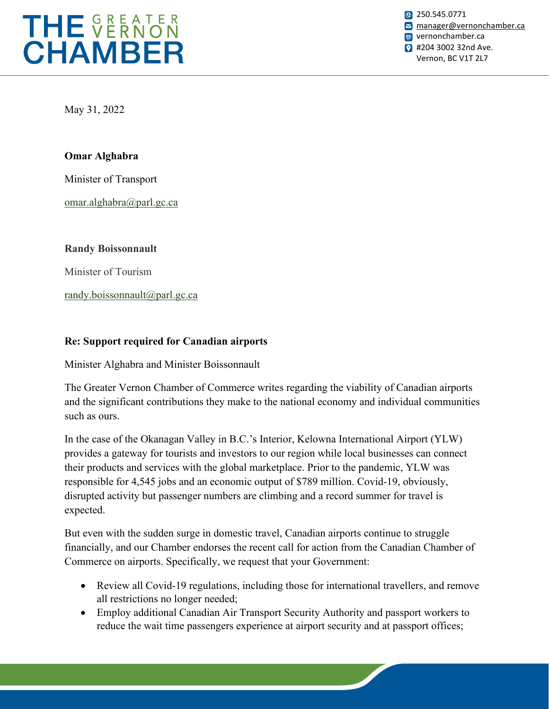

**8** 250.545.0771 **M** [manager@vernonchamber.ca](mailto:manager@vernonchamber.ca) **w** vernonchamber.ca **2** #204 3002 32nd Ave. Vernon, BC V1T 2L7

May 31, 2022

## **Omar Alghabra**

Minister of Transport

[omar.alghabra@parl.gc.ca](mailto:omar.alghabra@parl.gc.ca)

**Randy Boissonnault**

Minister of Tourism

[randy.boissonnault@parl.gc.ca](mailto:randy.boissonnault@parl.gc.ca)

## **Re: Support required for Canadian airports**

Minister Alghabra and Minister Boissonnault

The Greater Vernon Chamber of Commerce writes regarding the viability of Canadian airports and the significant contributions they make to the national economy and individual communities such as ours.

In the case of the Okanagan Valley in B.C.'s Interior, Kelowna International Airport (YLW) provides a gateway for tourists and investors to our region while local businesses can connect their products and services with the global marketplace. Prior to the pandemic, YLW was responsible for 4,545 jobs and an economic output of \$789 million. Covid-19, obviously, disrupted activity but passenger numbers are climbing and a record summer for travel is expected.

But even with the sudden surge in domestic travel, Canadian airports continue to struggle financially, and our Chamber endorses the recent call for action from the Canadian Chamber of Commerce on airports. Specifically, we request that your Government:

- Review all Covid-19 regulations, including those for international travellers, and remove all restrictions no longer needed;
- Employ additional Canadian Air Transport Security Authority and passport workers to reduce the wait time passengers experience at airport security and at passport offices;